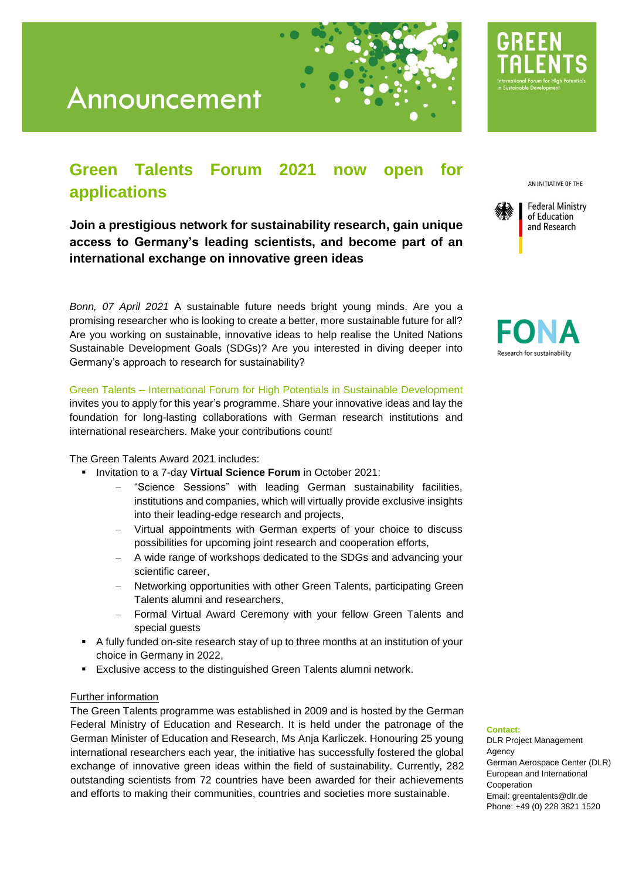

## **Green Talents Forum 2021 now open for applications**

**Join a prestigious network for sustainability research, gain unique access to Germany's leading scientists, and become part of an international exchange on innovative green ideas**

*Bonn, 07 April 2021* A sustainable future needs bright young minds. Are you a promising researcher who is looking to create a better, more sustainable future for all? Are you working on sustainable, innovative ideas to help realise the United Nations Sustainable Development Goals (SDGs)? Are you interested in diving deeper into Germany's approach to research for sustainability?

Green Talents – International Forum for High Potentials in Sustainable Development

invites you to apply for this year's programme. Share your innovative ideas and lay the foundation for long-lasting collaborations with German research institutions and international researchers. Make your contributions count!

The Green Talents Award 2021 includes:

- Invitation to a 7-day **Virtual Science Forum** in October 2021:
	- − "Science Sessions" with leading German sustainability facilities, institutions and companies, which will virtually provide exclusive insights into their leading-edge research and projects,
	- Virtual appointments with German experts of your choice to discuss possibilities for upcoming joint research and cooperation efforts,
	- A wide range of workshops dedicated to the SDGs and advancing your scientific career,
	- Networking opportunities with other Green Talents, participating Green Talents alumni and researchers,
	- − Formal Virtual Award Ceremony with your fellow Green Talents and special guests
- A fully funded on-site research stay of up to three months at an institution of your choice in Germany in 2022,
- Exclusive access to the distinguished Green Talents alumni network.

### Further information

The Green Talents programme was established in 2009 and is hosted by the German Federal Ministry of Education and Research. It is held under the patronage of the German Minister of Education and Research, Ms Anja Karliczek. Honouring 25 young international researchers each year, the initiative has successfully fostered the global exchange of innovative green ideas within the field of sustainability. Currently, 282 outstanding scientists from 72 countries have been awarded for their achievements and efforts to making their communities, countries and societies more sustainable.

AN INITIATIVE OF THE





#### **Contact:**

DLR Project Management **Agency** German Aerospace Center (DLR) European and International Cooperation Email[: greentalents@dlr.de](mailto:greentalents@dlr.de) Phone: +49 (0) 228 3821 1520